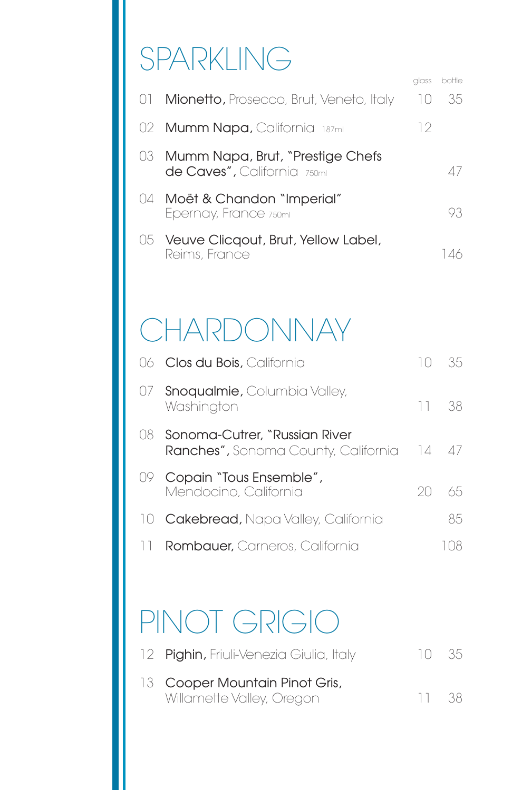# SPARKLING

|                                                                    | alass      | bottle    |
|--------------------------------------------------------------------|------------|-----------|
| 01 <b>Mionetto,</b> Prosecco, Brut, Veneto, Italy                  | $\vert$ () | 35.       |
| 02 <b>Mumm Napa,</b> California  187mi                             | 12         |           |
| 03 Mumm Napa, Brut, "Prestige Chefs<br>de Caves", California 750ml |            | $\Delta/$ |
| 04 Moët & Chandon "Imperial"<br>Epernay, France 750ml              |            | 93        |
| 05 Veuve Clicqout, Brut, Yellow Label,<br>Reims, France            |            |           |

## **CHARDONNAY**

|     | 06 Clos du Bois, California                                                       |    | 35. |
|-----|-----------------------------------------------------------------------------------|----|-----|
|     | 07 Snoqualmie, Columbia Valley,<br>Washington                                     | 11 | 38  |
| O8. | Sonoma-Cutrer, "Russian River<br><b>Ranches", Sonoma County, California</b> 14 47 |    |     |
| UY. | Copain "Tous Ensemble",<br>Mendocino, California                                  |    | 65  |
|     | 10 Cakebread, Napa Valley, California                                             |    | 85  |
|     | <b>Rombauer</b> , Carneros, California                                            |    |     |

## PINOT GRIGIO

| 12 Pighin, Friuli-Venezia Giulia, Italy | -10 - 35 |  |
|-----------------------------------------|----------|--|
| 13 Cooper Mountain Pinot Gris,          |          |  |
| Willamette Valley, Oregon               | -11 38   |  |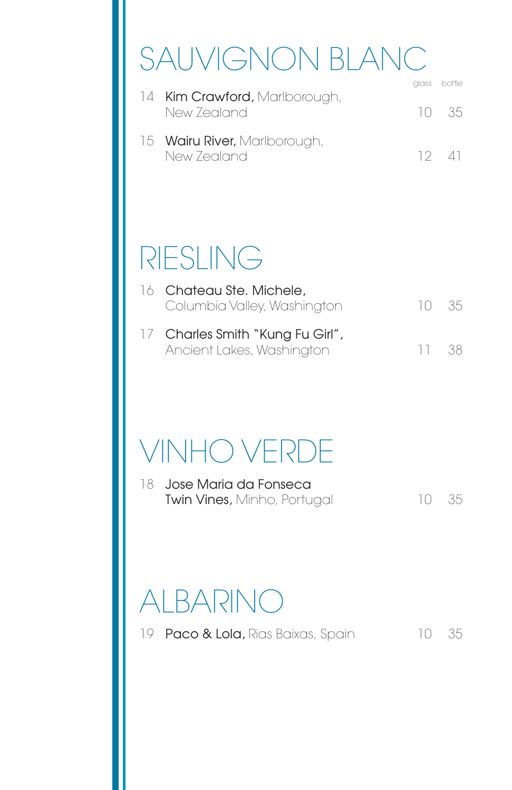# SAUVIGNON BLANC

|                                                     | glass bottle |
|-----------------------------------------------------|--------------|
| 14 <b>Kim Crawford,</b> Marlborough,<br>New Zealand | 10 35        |
| 15 Wairu River, Marlborough,<br>New Zealand         | 12 41        |

### RIESLING

| 16 Chateau Ste. Michele,<br>Columbia Valley, Washington       | -10 - 35 |  |
|---------------------------------------------------------------|----------|--|
| 17 Charles Smith "Kung Fu Girl",<br>Ancient Lakes, Washington | -11 38   |  |

### VINHO VERDE

| 18 Jose Maria da Fonseca           |          |  |
|------------------------------------|----------|--|
| <b>Twin Vines, Minho, Portugal</b> | -10 - 35 |  |

#### ALBARINO

19 **Paco & Lola,** Rias Baixas, Spain 10 35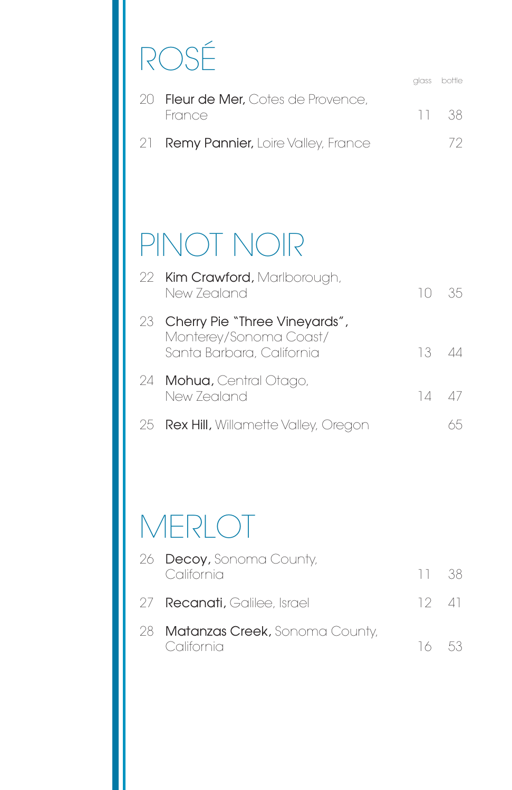# ROSÉ

glass bottle 20 Fleur de Mer, Cotes de Provence, France 11 38 21 **Remy Pannier,** Loire Valley, France 72

### PINOT NOIR

| 22 Kim Crawford, Marlborough,<br>New Zealand                                            | $10 - 35$     |  |
|-----------------------------------------------------------------------------------------|---------------|--|
| 23 Cherry Pie "Three Vineyards",<br>Monterey/Sonoma Coast/<br>Santa Barbara, California | 13.           |  |
| 24 Mohua, Central Otago,<br>New Zealand                                                 | $14 \quad 47$ |  |
| 25 <b>Rex Hill,</b> Willamette Valley, Oregon                                           |               |  |

### **MERLOT**

| 26 <b>Decoy, Sonoma County,</b><br>California   | 11.38         |  |
|-------------------------------------------------|---------------|--|
| 27 Recanati, Galilee, Israel                    | $12 \quad 41$ |  |
| 28 Matanzas Creek, Sonoma County,<br>California | 16 53         |  |